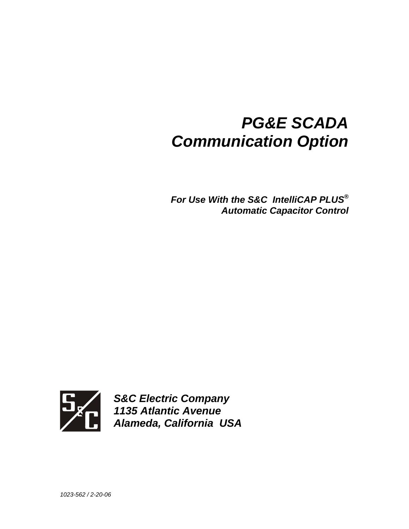# *PG&E SCADA Communication Option*

*For Use With the S&C IntelliCAP PLUS® Automatic Capacitor Control* 



*S&C Electric Company 1135 Atlantic Avenue Alameda, California USA*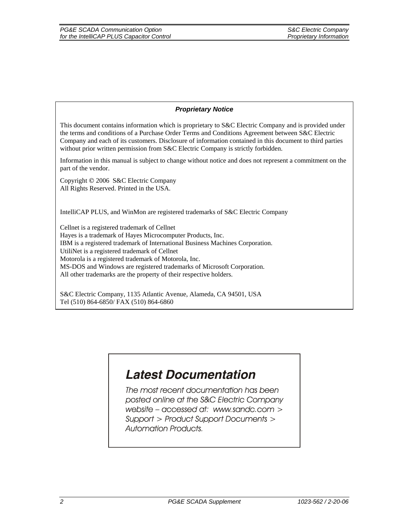#### *Proprietary Notice*

This document contains information which is proprietary to S&C Electric Company and is provided under the terms and conditions of a Purchase Order Terms and Conditions Agreement between S&C Electric Company and each of its customers. Disclosure of information contained in this document to third parties without prior written permission from S&C Electric Company is strictly forbidden.

Information in this manual is subject to change without notice and does not represent a commitment on the part of the vendor.

Copyright © 2006 S&C Electric Company All Rights Reserved. Printed in the USA.

IntelliCAP PLUS, and WinMon are registered trademarks of S&C Electric Company

Cellnet is a registered trademark of Cellnet Hayes is a trademark of Hayes Microcomputer Products, Inc. IBM is a registered trademark of International Business Machines Corporation. UtiliNet is a registered trademark of Cellnet Motorola is a registered trademark of Motorola, Inc. MS-DOS and Windows are registered trademarks of Microsoft Corporation. All other trademarks are the property of their respective holders.

S&C Electric Company, 1135 Atlantic Avenue, Alameda, CA 94501, USA Tel (510) 864-6850/ FAX (510) 864-6860

# **Latest Documentation**

The most recent documentation has been posted online at the S&C Electric Company website - accessed at: www.sandc.com > Support > Product Support Documents > **Automation Products.**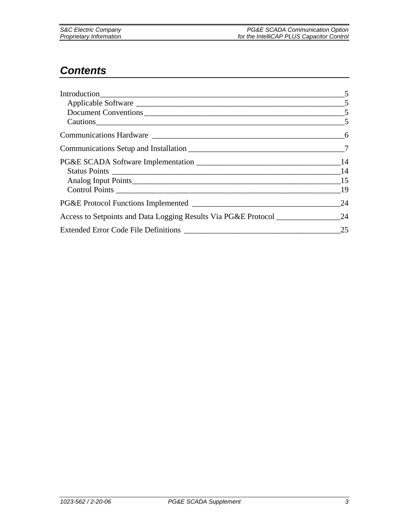### *Contents*

|                                       | $\sim$ 5 |
|---------------------------------------|----------|
|                                       |          |
|                                       |          |
| Cautions 5                            |          |
|                                       |          |
|                                       |          |
| PG&E SCADA Software Implementation 14 |          |
|                                       |          |
|                                       |          |
|                                       |          |
|                                       | 24       |
|                                       |          |
|                                       | 25       |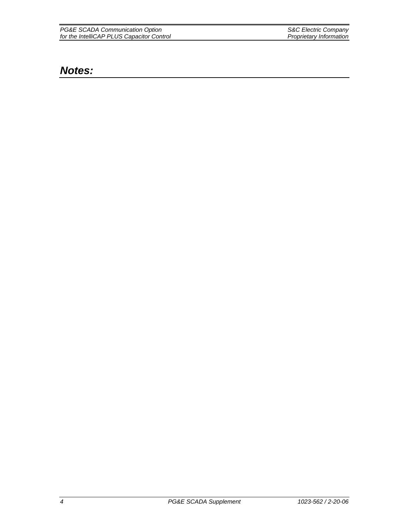| PG&E SCADA Communication Option           | S&C Electric Company    |
|-------------------------------------------|-------------------------|
| for the IntelliCAP PLUS Capacitor Control | Proprietary Information |

### *Notes:*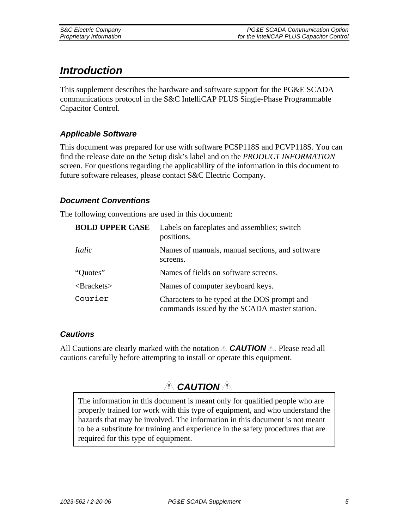# *Introduction*

This supplement describes the hardware and software support for the PG&E SCADA communications protocol in the S&C IntelliCAP PLUS Single-Phase Programmable Capacitor Control.

### *Applicable Software*

This document was prepared for use with software PCSP118S and PCVP118S. You can find the release date on the Setup disk's label and on the *PRODUCT INFORMATION* screen. For questions regarding the applicability of the information in this document to future software releases, please contact S&C Electric Company.

### *Document Conventions*

The following conventions are used in this document:

| <b>BOLD UPPER CASE</b> | Labels on faceplates and assemblies; switch<br>positions.                                    |
|------------------------|----------------------------------------------------------------------------------------------|
| Italic                 | Names of manuals, manual sections, and software<br>screens.                                  |
| "Quotes"               | Names of fields on software screens.                                                         |
| $\langle$ Brackets $>$ | Names of computer keyboard keys.                                                             |
| Courier                | Characters to be typed at the DOS prompt and<br>commands issued by the SCADA master station. |

### *Cautions*

All Cautions are clearly marked with the notation  $\triangle$  **CAUTION**  $\triangle$ . Please read all cautions carefully before attempting to install or operate this equipment.

# *A* CAUTION **A**

The information in this document is meant only for qualified people who are properly trained for work with this type of equipment, and who understand the hazards that may be involved. The information in this document is not meant to be a substitute for training and experience in the safety procedures that are required for this type of equipment.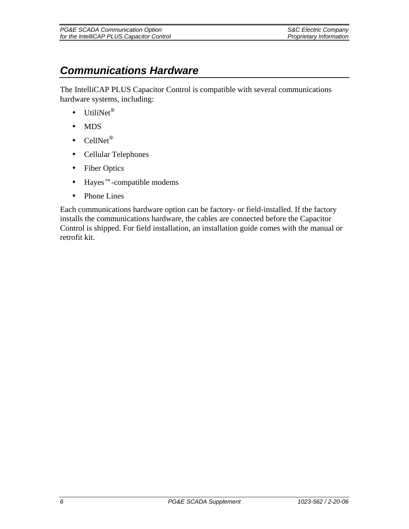| PG&E SCADA Communication Option           | <b>S&amp;C Electric Company</b> |
|-------------------------------------------|---------------------------------|
| for the IntelliCAP PLUS Capacitor Control | Proprietary Information         |

## *Communications Hardware*

The IntelliCAP PLUS Capacitor Control is compatible with several communications hardware systems, including:

- UtiliNet®
- MDS
- CellNet®
- Cellular Telephones
- Fiber Optics
- Hayes™-compatible modems
- Phone Lines

Each communications hardware option can be factory- or field-installed. If the factory installs the communications hardware, the cables are connected before the Capacitor Control is shipped. For field installation, an installation guide comes with the manual or retrofit kit.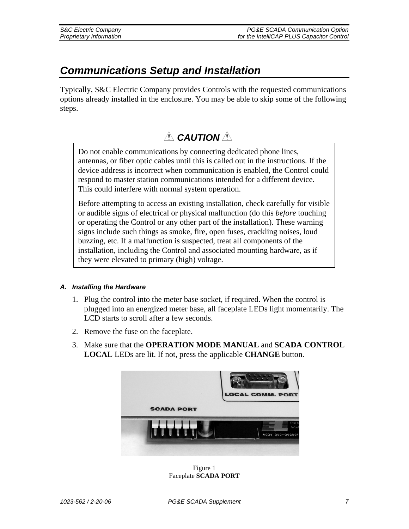# *Communications Setup and Installation*

Typically, S&C Electric Company provides Controls with the requested communications options already installed in the enclosure. You may be able to skip some of the following steps.

### A **CAUTION**

Do not enable communications by connecting dedicated phone lines, antennas, or fiber optic cables until this is called out in the instructions. If the device address is incorrect when communication is enabled, the Control could respond to master station communications intended for a different device. This could interfere with normal system operation.

Before attempting to access an existing installation, check carefully for visible or audible signs of electrical or physical malfunction (do this *before* touching or operating the Control or any other part of the installation). These warning signs include such things as smoke, fire, open fuses, crackling noises, loud buzzing, etc. If a malfunction is suspected, treat all components of the installation, including the Control and associated mounting hardware, as if they were elevated to primary (high) voltage.

#### *A. Installing the Hardware*

- 1. Plug the control into the meter base socket, if required. When the control is plugged into an energized meter base, all faceplate LEDs light momentarily. The LCD starts to scroll after a few seconds.
- 2. Remove the fuse on the faceplate.
- 3. Make sure that the **OPERATION MODE MANUAL** and **SCADA CONTROL LOCAL** LEDs are lit. If not, press the applicable **CHANGE** button.



Figure 1 Faceplate **SCADA PORT**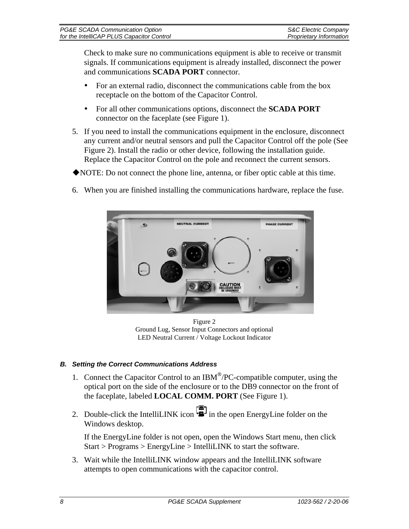| PG&E SCADA Communication Option           | S&C Electric Company    |
|-------------------------------------------|-------------------------|
| for the IntelliCAP PLUS Capacitor Control | Proprietary Information |

 Check to make sure no communications equipment is able to receive or transmit signals. If communications equipment is already installed, disconnect the power and communications **SCADA PORT** connector.

- For an external radio, disconnect the communications cable from the box receptacle on the bottom of the Capacitor Control.
- For all other communications options, disconnect the **SCADA PORT** connector on the faceplate (see Figure 1).
- 5. If you need to install the communications equipment in the enclosure, disconnect any current and/or neutral sensors and pull the Capacitor Control off the pole (See Figure 2). Install the radio or other device, following the installation guide. Replace the Capacitor Control on the pole and reconnect the current sensors.
- NOTE: Do not connect the phone line, antenna, or fiber optic cable at this time.
- 6. When you are finished installing the communications hardware, replace the fuse.



Figure 2 Ground Lug, Sensor Input Connectors and optional LED Neutral Current / Voltage Lockout Indicator

### *B. Setting the Correct Communications Address*

- 1. Connect the Capacitor Control to an IBM<sup>®</sup>/PC-compatible computer, using the optical port on the side of the enclosure or to the DB9 connector on the front of the faceplate, labeled **LOCAL COMM. PORT** (See Figure 1).
- 2. Double-click the IntelliLINK icon <sup>[19]</sup> in the open EnergyLine folder on the Windows desktop.

If the EnergyLine folder is not open, open the Windows Start menu, then click Start > Programs > EnergyLine > IntelliLINK to start the software.

3. Wait while the IntelliLINK window appears and the IntelliLINK software attempts to open communications with the capacitor control.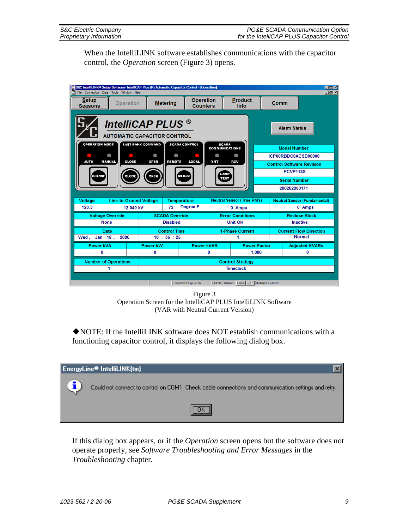When the IntelliLINK software establishes communications with the capacitor control, the *Operation* screen (Figure 3) opens.

| $\Box$ D $\Box$<br>S&C IntelliLINK® Setup Software- IntelliCAP Plus (R) Automatic Capacitor Control - [Operation]<br>H <sub>B</sub><br>File Connection Data Tools Window Help<br>B                                                                                                                                                                                                                         |                                                        |                                                                                         |                                          |                                   |                                           |                                                                                                                                                           |                               |  |
|------------------------------------------------------------------------------------------------------------------------------------------------------------------------------------------------------------------------------------------------------------------------------------------------------------------------------------------------------------------------------------------------------------|--------------------------------------------------------|-----------------------------------------------------------------------------------------|------------------------------------------|-----------------------------------|-------------------------------------------|-----------------------------------------------------------------------------------------------------------------------------------------------------------|-------------------------------|--|
| <b>Setup</b><br><b>Seasons</b>                                                                                                                                                                                                                                                                                                                                                                             | <b>Operation</b>                                       | <b>Product</b><br><b>Operation</b><br><b>Metering</b><br><b>Counters</b><br><b>Info</b> |                                          |                                   |                                           | Comm                                                                                                                                                      |                               |  |
| IntelliCAP PLUS <sup>®</sup><br><b>AUTOMATIC CAPACITOR CONTROL</b><br><b>OPERATION MODE</b><br><b>LAST BANK COMMAND</b><br><b>SCADA CONTROL</b><br><b>SCADA</b><br><b>CONNUNICATIONS</b><br>Ô<br>a<br>ā<br>a<br>æ<br><b>AUTO</b><br><b>CLOSE</b><br><b>NANUAL</b><br><b>OPEN</b><br><b>RENOTE</b><br><b>LOCAL</b><br>XN T<br>RCV<br>-ANP<br>CHANGE<br><b>CLOSE</b><br><b>OPEN</b><br><b>CHANGE</b><br>TEST |                                                        |                                                                                         |                                          |                                   |                                           | Alarm Status<br><b>Model Number</b><br>ICP60RBDC0ACSD00000<br><b>Control Software Revision</b><br><b>PCVP118S</b><br><b>Serial Number</b><br>200202000171 |                               |  |
| <b>Voltage</b>                                                                                                                                                                                                                                                                                                                                                                                             | <b>Line-to-Ground Voltage</b>                          |                                                                                         | <b>Temperature</b>                       |                                   | <b>Neutral Sensor (True RMS)</b>          | <b>Neutral Sensor (Fundamental)</b>                                                                                                                       |                               |  |
| 120.5                                                                                                                                                                                                                                                                                                                                                                                                      | 12.040 kV                                              |                                                                                         | <b>Degree F</b><br>72                    |                                   | 0 Amps                                    | 0 Amps                                                                                                                                                    |                               |  |
|                                                                                                                                                                                                                                                                                                                                                                                                            | <b>Voltage Override</b>                                |                                                                                         | <b>SCADA Override</b>                    | <b>Error Conditions</b>           |                                           | <b>Reclose Block</b>                                                                                                                                      |                               |  |
|                                                                                                                                                                                                                                                                                                                                                                                                            | <b>None</b>                                            |                                                                                         | <b>Disabled</b>                          | <b>Unit OK</b><br><b>Inactive</b> |                                           |                                                                                                                                                           |                               |  |
|                                                                                                                                                                                                                                                                                                                                                                                                            | <b>Date</b>                                            |                                                                                         | <b>Control Time</b>                      |                                   | <b>1-Phase Current</b>                    |                                                                                                                                                           | <b>Current Flow Direction</b> |  |
| Wed.                                                                                                                                                                                                                                                                                                                                                                                                       | Jan $18$ ,<br>2006                                     |                                                                                         | 10 : 36 : 25                             |                                   | 1                                         |                                                                                                                                                           | <b>Normal</b>                 |  |
| <b>Power kVA</b>                                                                                                                                                                                                                                                                                                                                                                                           |                                                        | <b>Power kW</b>                                                                         | <b>Power kVAR</b><br><b>Power Factor</b> |                                   |                                           | <b>Adjusted KVARs</b>                                                                                                                                     |                               |  |
|                                                                                                                                                                                                                                                                                                                                                                                                            | 1.000<br>0<br>0<br>0<br>0                              |                                                                                         |                                          |                                   |                                           |                                                                                                                                                           |                               |  |
|                                                                                                                                                                                                                                                                                                                                                                                                            | <b>Number of Operations</b><br><b>Control Strategy</b> |                                                                                         |                                          |                                   |                                           |                                                                                                                                                           |                               |  |
| <b>Timeclock</b><br>1                                                                                                                                                                                                                                                                                                                                                                                      |                                                        |                                                                                         |                                          |                                   |                                           |                                                                                                                                                           |                               |  |
|                                                                                                                                                                                                                                                                                                                                                                                                            |                                                        |                                                                                         | Snapshot:Pcvp---s.VM                     |                                   | 13:50 Refresh: Once Auto Updated 13:49:20 |                                                                                                                                                           |                               |  |

Figure 3 Operation Screen for the IntelliCAP PLUS IntelliLINK Software (VAR with Neutral Current Version)

NOTE: If the IntelliLINK software does NOT establish communications with a functioning capacitor control, it displays the following dialog box.

| EnergyLine® IntelliLINK(tm) |                                                                                                     |  |  |  |  |  |
|-----------------------------|-----------------------------------------------------------------------------------------------------|--|--|--|--|--|
|                             | Could not connect to control on COM1. Check cable connections and communication settings and retry. |  |  |  |  |  |
|                             | ,,,,,,,,,,,,,,,,,,                                                                                  |  |  |  |  |  |

If this dialog box appears, or if the *Operation* screen opens but the software does not operate properly, see *Software Troubleshooting and Error Messages* in the *Troubleshooting* chapter.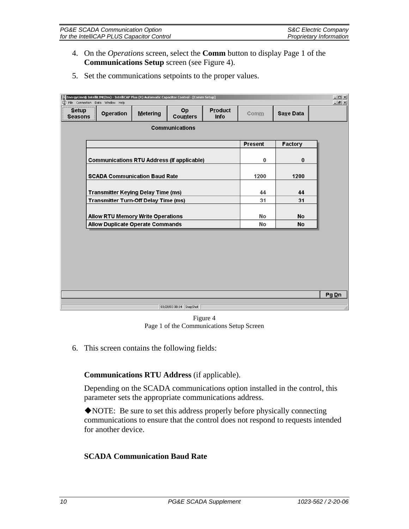| PG&E SCADA Communication Option           | S&C Electric Company           |
|-------------------------------------------|--------------------------------|
| for the IntelliCAP PLUS Capacitor Control | <b>Proprietary Information</b> |

- 4. On the *Operations* screen, select the **Comm** button to display Page 1 of the **Communications Setup** screen (see Figure 4).
- 5. Set the communications setpoints to the proper values.

|                                         | EnergyLine® IntelliLINK(tm) - IntelliCAP Plus (R) Automatic Capacitor Control - [Comm Setup]<br>File Connection Data Window Help |                 |                         |                        |                |                  | $-10 \times$<br>$-10 \times$ |  |
|-----------------------------------------|----------------------------------------------------------------------------------------------------------------------------------|-----------------|-------------------------|------------------------|----------------|------------------|------------------------------|--|
| <b>Setup</b><br><b>Seasons</b>          | <b>Operation</b>                                                                                                                 | <b>Metering</b> | Op<br><b>Counters</b>   | <b>Product</b><br>Info | Comm           | <b>Save Data</b> |                              |  |
|                                         | <b>Communications</b>                                                                                                            |                 |                         |                        |                |                  |                              |  |
|                                         |                                                                                                                                  |                 |                         |                        | <b>Present</b> | Factory          |                              |  |
|                                         | <b>Communications RTU Address (If applicable)</b>                                                                                |                 |                         |                        | 0              | 0                |                              |  |
|                                         | <b>SCADA Communication Baud Rate</b>                                                                                             |                 |                         |                        | 1200           | 1200             |                              |  |
|                                         | <b>Transmitter Keying Delay Time (ms)</b>                                                                                        |                 |                         |                        | 44             | 44               |                              |  |
|                                         | <b>Transmitter Turn-Off Delay Time (ms)</b>                                                                                      |                 |                         |                        | 31             | 31               |                              |  |
|                                         | <b>Allow RTU Memory Write Operations</b>                                                                                         |                 |                         |                        | No             | No               |                              |  |
| <b>Allow Duplicate Operate Commands</b> |                                                                                                                                  |                 |                         |                        | No             | No               |                              |  |
|                                         |                                                                                                                                  |                 |                         |                        |                |                  | Pg Dn                        |  |
|                                         |                                                                                                                                  |                 |                         |                        |                |                  |                              |  |
|                                         |                                                                                                                                  |                 | 01/28/03 08:14 SnapShot |                        |                |                  |                              |  |

Figure 4 Page 1 of the Communications Setup Screen

6. This screen contains the following fields:

### **Communications RTU Address** (if applicable).

 Depending on the SCADA communications option installed in the control, this parameter sets the appropriate communications address.

NOTE: Be sure to set this address properly before physically connecting communications to ensure that the control does not respond to requests intended for another device.

#### **SCADA Communication Baud Rate**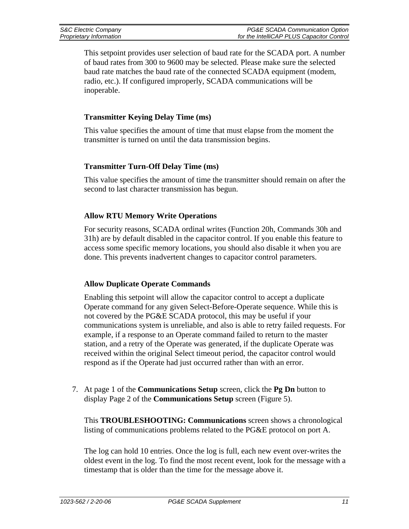| S&C Electric Company    | PG&E SCADA Communication Option           |
|-------------------------|-------------------------------------------|
| Proprietary Information | for the IntelliCAP PLUS Capacitor Control |

 This setpoint provides user selection of baud rate for the SCADA port. A number of baud rates from 300 to 9600 may be selected. Please make sure the selected baud rate matches the baud rate of the connected SCADA equipment (modem, radio, etc.). If configured improperly, SCADA communications will be inoperable.

#### **Transmitter Keying Delay Time (ms)**

 This value specifies the amount of time that must elapse from the moment the transmitter is turned on until the data transmission begins.

#### **Transmitter Turn-Off Delay Time (ms)**

 This value specifies the amount of time the transmitter should remain on after the second to last character transmission has begun.

#### **Allow RTU Memory Write Operations**

 For security reasons, SCADA ordinal writes (Function 20h, Commands 30h and 31h) are by default disabled in the capacitor control. If you enable this feature to access some specific memory locations, you should also disable it when you are done. This prevents inadvertent changes to capacitor control parameters.

#### **Allow Duplicate Operate Commands**

 Enabling this setpoint will allow the capacitor control to accept a duplicate Operate command for any given Select-Before-Operate sequence. While this is not covered by the PG&E SCADA protocol, this may be useful if your communications system is unreliable, and also is able to retry failed requests. For example, if a response to an Operate command failed to return to the master station, and a retry of the Operate was generated, if the duplicate Operate was received within the original Select timeout period, the capacitor control would respond as if the Operate had just occurred rather than with an error.

7. At page 1 of the **Communications Setup** screen, click the **Pg Dn** button to display Page 2 of the **Communications Setup** screen (Figure 5).

 This **TROUBLESHOOTING: Communications** screen shows a chronological listing of communications problems related to the PG&E protocol on port A.

 The log can hold 10 entries. Once the log is full, each new event over-writes the oldest event in the log. To find the most recent event, look for the message with a timestamp that is older than the time for the message above it.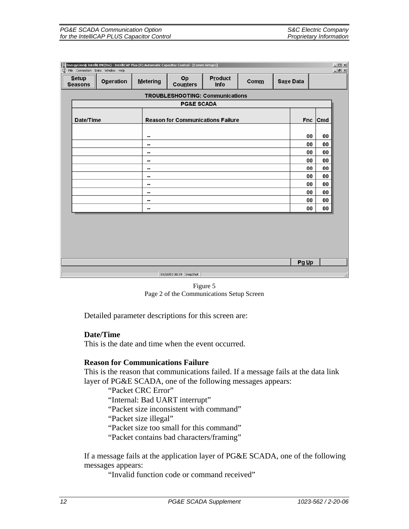| EnergyLine® IntelliLINK(tm) - IntelliCAP Plus (R) Automatic Capacitor Control - [Comm Setup1] |                  |          |                         |                                          |               |           | $-10 \times$ |              |     |
|-----------------------------------------------------------------------------------------------|------------------|----------|-------------------------|------------------------------------------|---------------|-----------|--------------|--------------|-----|
| $-10 \times$<br>[S] File Connection Data Window Help                                          |                  |          |                         |                                          |               |           |              |              |     |
| Setup<br><b>Seasons</b>                                                                       | <b>Operation</b> | Metering | Op<br><b>Counters</b>   | Product<br><b>Info</b>                   | $\text{Comm}$ | Save Data |              |              |     |
|                                                                                               |                  |          |                         | <b>TROUBLESHOOTING: Communications</b>   |               |           |              |              |     |
|                                                                                               |                  |          | <b>PG&amp;E SCADA</b>   |                                          |               |           |              |              |     |
| Date/Time                                                                                     |                  |          |                         | <b>Reason for Communications Failure</b> |               |           |              | $Enc$ $ Cmd$ |     |
|                                                                                               |                  | ۰.       |                         |                                          |               |           | 00           | 00           |     |
|                                                                                               |                  | --       |                         |                                          |               |           | 00           | 00           |     |
|                                                                                               |                  | н.       |                         |                                          |               |           | 00           | 00           |     |
|                                                                                               |                  | --       |                         |                                          |               |           | 00           | 00           |     |
|                                                                                               |                  | ۰.       |                         |                                          |               |           | 00           | 00           |     |
| н.<br>н.                                                                                      |                  |          |                         |                                          |               | 00<br>00  | 00<br>00     |              |     |
|                                                                                               |                  | --       |                         |                                          |               |           | 00           | 00           |     |
|                                                                                               |                  | ۰.       |                         |                                          |               |           | 00           | 00           |     |
|                                                                                               |                  | н.       |                         |                                          |               |           | 00           | 00           |     |
|                                                                                               |                  |          |                         |                                          |               |           |              |              |     |
|                                                                                               |                  |          |                         |                                          |               |           |              |              |     |
|                                                                                               |                  |          |                         |                                          |               |           |              |              |     |
|                                                                                               |                  |          |                         |                                          |               |           |              |              |     |
|                                                                                               |                  |          |                         |                                          |               |           |              |              |     |
| Pg Up                                                                                         |                  |          |                         |                                          |               |           |              |              |     |
|                                                                                               |                  |          | 01/28/03 08:19 SnapShot |                                          |               |           |              |              | //, |

Figure 5 Page 2 of the Communications Setup Screen

Detailed parameter descriptions for this screen are:

#### **Date/Time**

This is the date and time when the event occurred.

#### **Reason for Communications Failure**

 This is the reason that communications failed. If a message fails at the data link layer of PG&E SCADA, one of the following messages appears:

"Packet CRC Error"

"Internal: Bad UART interrupt"

"Packet size inconsistent with command"

"Packet size illegal"

"Packet size too small for this command"

"Packet contains bad characters/framing"

 If a message fails at the application layer of PG&E SCADA, one of the following messages appears:

"Invalid function code or command received"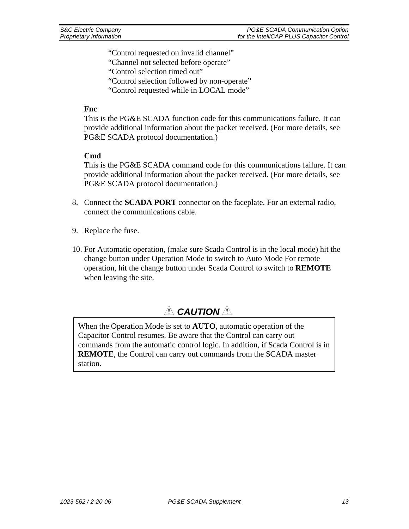"Control requested on invalid channel"

- "Channel not selected before operate"
- "Control selection timed out"
- "Control selection followed by non-operate"
- "Control requested while in LOCAL mode"

#### **Fnc**

 This is the PG&E SCADA function code for this communications failure. It can provide additional information about the packet received. (For more details, see PG&E SCADA protocol documentation.)

#### **Cmd**

 This is the PG&E SCADA command code for this communications failure. It can provide additional information about the packet received. (For more details, see PG&E SCADA protocol documentation.)

- 8. Connect the **SCADA PORT** connector on the faceplate. For an external radio, connect the communications cable.
- 9. Replace the fuse.
- 10. For Automatic operation, (make sure Scada Control is in the local mode) hit the change button under Operation Mode to switch to Auto Mode For remote operation, hit the change button under Scada Control to switch to **REMOTE** when leaving the site.

### ! *CAUTION* !

When the Operation Mode is set to **AUTO**, automatic operation of the Capacitor Control resumes. Be aware that the Control can carry out commands from the automatic control logic. In addition, if Scada Control is in **REMOTE**, the Control can carry out commands from the SCADA master station.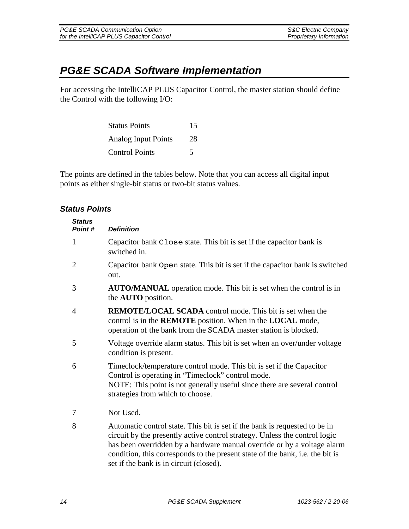# *PG&E SCADA Software Implementation*

For accessing the IntelliCAP PLUS Capacitor Control, the master station should define the Control with the following I/O:

| <b>Status Points</b>       | 15 |
|----------------------------|----|
| <b>Analog Input Points</b> | 28 |
| <b>Control Points</b>      | 5  |

The points are defined in the tables below. Note that you can access all digital input points as either single-bit status or two-bit status values.

### *Status Points*

| <b>Status</b><br>Point# | <b>Definition</b>                                                                                                                                                                                                                                                                                                    |
|-------------------------|----------------------------------------------------------------------------------------------------------------------------------------------------------------------------------------------------------------------------------------------------------------------------------------------------------------------|
| $\mathbf{1}$            | Capacitor bank Close state. This bit is set if the capacitor bank is<br>switched in.                                                                                                                                                                                                                                 |
| $\overline{2}$          | Capacitor bank Open state. This bit is set if the capacitor bank is switched<br>out.                                                                                                                                                                                                                                 |
| 3                       | <b>AUTO/MANUAL</b> operation mode. This bit is set when the control is in<br>the <b>AUTO</b> position.                                                                                                                                                                                                               |
| 4                       | <b>REMOTE/LOCAL SCADA</b> control mode. This bit is set when the<br>control is in the <b>REMOTE</b> position. When in the <b>LOCAL</b> mode,<br>operation of the bank from the SCADA master station is blocked.                                                                                                      |
| 5                       | Voltage override alarm status. This bit is set when an over/under voltage<br>condition is present.                                                                                                                                                                                                                   |
| 6                       | Timeclock/temperature control mode. This bit is set if the Capacitor<br>Control is operating in "Timeclock" control mode.<br>NOTE: This point is not generally useful since there are several control<br>strategies from which to choose.                                                                            |
| 7                       | Not Used.                                                                                                                                                                                                                                                                                                            |
| 8                       | Automatic control state. This bit is set if the bank is requested to be in<br>circuit by the presently active control strategy. Unless the control logic<br>has been overridden by a hardware manual override or by a voltage alarm<br>condition, this corresponds to the present state of the bank, i.e. the bit is |

set if the bank is in circuit (closed).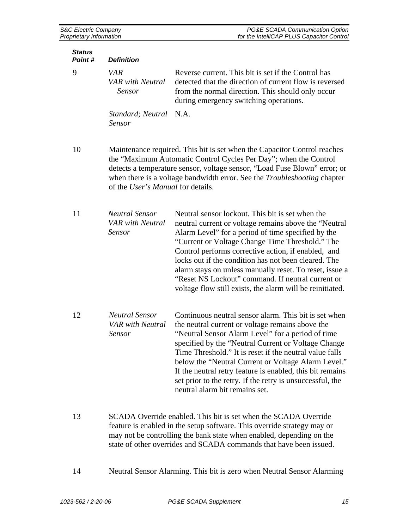| <b>Status</b><br>Point# | <b>Definition</b>                                          |                                                                                                                                                                                                                                                                                                                                                                                                                                                                                                                |
|-------------------------|------------------------------------------------------------|----------------------------------------------------------------------------------------------------------------------------------------------------------------------------------------------------------------------------------------------------------------------------------------------------------------------------------------------------------------------------------------------------------------------------------------------------------------------------------------------------------------|
| 9                       | <b>VAR</b><br><b>VAR</b> with Neutral<br><b>Sensor</b>     | Reverse current. This bit is set if the Control has<br>detected that the direction of current flow is reversed<br>from the normal direction. This should only occur<br>during emergency switching operations.                                                                                                                                                                                                                                                                                                  |
|                         | Standard; Neutral N.A.<br>Sensor                           |                                                                                                                                                                                                                                                                                                                                                                                                                                                                                                                |
| 10                      | of the User's Manual for details.                          | Maintenance required. This bit is set when the Capacitor Control reaches<br>the "Maximum Automatic Control Cycles Per Day"; when the Control<br>detects a temperature sensor, voltage sensor, "Load Fuse Blown" error; or<br>when there is a voltage bandwidth error. See the <i>Troubleshooting</i> chapter                                                                                                                                                                                                   |
| 11                      | <b>Neutral Sensor</b><br><b>VAR</b> with Neutral<br>Sensor | Neutral sensor lockout. This bit is set when the<br>neutral current or voltage remains above the "Neutral<br>Alarm Level" for a period of time specified by the<br>"Current or Voltage Change Time Threshold." The<br>Control performs corrective action, if enabled, and<br>locks out if the condition has not been cleared. The<br>alarm stays on unless manually reset. To reset, issue a<br>"Reset NS Lockout" command. If neutral current or<br>voltage flow still exists, the alarm will be reinitiated. |
| 12                      | <b>Neutral Sensor</b><br><b>VAR</b> with Neutral<br>Sensor | Continuous neutral sensor alarm. This bit is set when<br>the neutral current or voltage remains above the<br>"Neutral Sensor Alarm Level" for a period of time<br>specified by the "Neutral Current or Voltage Change<br>Time Threshold." It is reset if the neutral value falls<br>below the "Neutral Current or Voltage Alarm Level."<br>If the neutral retry feature is enabled, this bit remains<br>set prior to the retry. If the retry is unsuccessful, the<br>neutral alarm bit remains set.            |
| 13                      |                                                            | SCADA Override enabled. This bit is set when the SCADA Override<br>feature is enabled in the setup software. This override strategy may or                                                                                                                                                                                                                                                                                                                                                                     |

- feature is enabled in the setup software. This override strategy may or may not be controlling the bank state when enabled, depending on the state of other overrides and SCADA commands that have been issued.
- 14 Neutral Sensor Alarming. This bit is zero when Neutral Sensor Alarming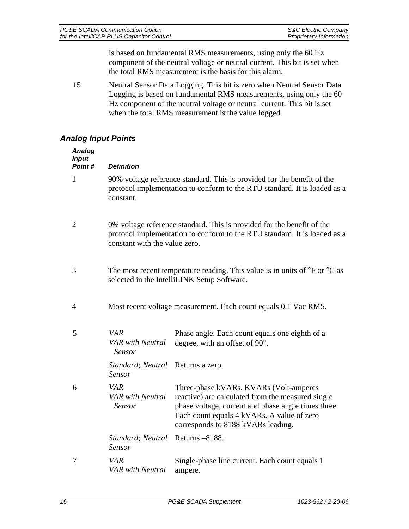| PG&E SCADA Communication Option           | S&C Electric Company           |
|-------------------------------------------|--------------------------------|
| for the IntelliCAP PLUS Capacitor Control | <b>Proprietary Information</b> |

is based on fundamental RMS measurements, using only the 60 Hz component of the neutral voltage or neutral current. This bit is set when the total RMS measurement is the basis for this alarm.

15 Neutral Sensor Data Logging. This bit is zero when Neutral Sensor Data Logging is based on fundamental RMS measurements, using only the 60 Hz component of the neutral voltage or neutral current. This bit is set when the total RMS measurement is the value logged.

### *Analog Input Points*

| <b>Analog</b><br><b>Input</b><br>Point# | <b>Definition</b>                               |                                                                                                                                                                                                                                        |
|-----------------------------------------|-------------------------------------------------|----------------------------------------------------------------------------------------------------------------------------------------------------------------------------------------------------------------------------------------|
| 1                                       | constant.                                       | 90% voltage reference standard. This is provided for the benefit of the<br>protocol implementation to conform to the RTU standard. It is loaded as a                                                                                   |
| $\overline{2}$                          | constant with the value zero.                   | 0% voltage reference standard. This is provided for the benefit of the<br>protocol implementation to conform to the RTU standard. It is loaded as a                                                                                    |
| 3                                       |                                                 | The most recent temperature reading. This value is in units of $\rm{^{\circ}F}$ or $\rm{^{\circ}C}$ as<br>selected in the IntelliLINK Setup Software.                                                                                  |
| 4                                       |                                                 | Most recent voltage measurement. Each count equals 0.1 Vac RMS.                                                                                                                                                                        |
| 5                                       | VAR<br><b>VAR</b> with Neutral<br>Sensor        | Phase angle. Each count equals one eighth of a<br>degree, with an offset of 90°.                                                                                                                                                       |
|                                         | Standard; Neutral<br>Sensor                     | Returns a zero.                                                                                                                                                                                                                        |
| 6                                       | <b>VAR</b><br><b>VAR</b> with Neutral<br>Sensor | Three-phase kVARs. KVARs (Volt-amperes<br>reactive) are calculated from the measured single<br>phase voltage, current and phase angle times three.<br>Each count equals 4 kVARs. A value of zero<br>corresponds to 8188 kVARs leading. |
|                                         | Standard; Neutral<br>Sensor                     | Returns -8188.                                                                                                                                                                                                                         |
| 7                                       | <b>VAR</b><br><b>VAR</b> with Neutral           | Single-phase line current. Each count equals 1<br>ampere.                                                                                                                                                                              |
|                                         |                                                 |                                                                                                                                                                                                                                        |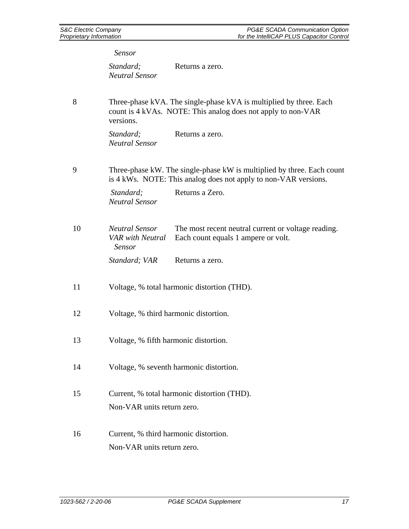*Sensor Standard; Neutral Sensor*  Returns a zero. 8 Three-phase kVA. The single-phase kVA is multiplied by three. Each count is 4 kVAs. NOTE: This analog does not apply to non-VAR versions. *Standard; Neutral Sensor*  Returns a zero. 9 Three-phase kW. The single-phase kW is multiplied by three. Each count is 4 kWs. NOTE: This analog does not apply to non-VAR versions. *Standard:* **Returns a Zero.** *Neutral Sensor*  10 *Neutral Sensor VAR with Neutral Sensor*  The most recent neutral current or voltage reading. Each count equals 1 ampere or volt. *Standard; VAR* Returns a zero. 11 Voltage, % total harmonic distortion (THD). 12 Voltage, % third harmonic distortion. 13 Voltage, % fifth harmonic distortion. 14 Voltage, % seventh harmonic distortion. 15 Current, % total harmonic distortion (THD). Non-VAR units return zero. 16 Current, % third harmonic distortion.

Non-VAR units return zero.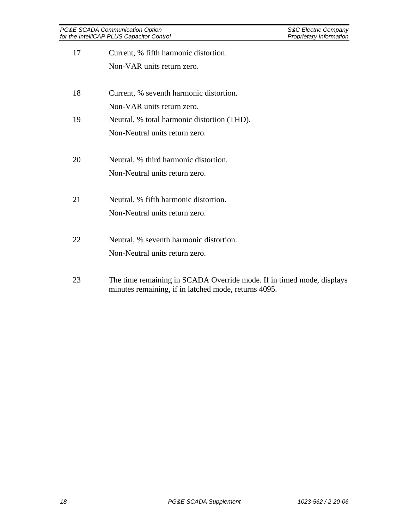| 17 | Current, % fifth harmonic distortion.                 |
|----|-------------------------------------------------------|
|    | Non-VAR units return zero.                            |
| 18 | Current, % seventh harmonic distortion.               |
|    | Non-VAR units return zero.                            |
| 19 | Neutral, % total harmonic distortion (THD).           |
|    | Non-Neutral units return zero.                        |
| 20 | Neutral, % third harmonic distortion.                 |
|    | Non-Neutral units return zero.                        |
| 21 | Neutral, % fifth harmonic distortion.                 |
|    | Non-Neutral units return zero.                        |
| 22 | Neutral, % seventh harmonic distortion.               |
|    | Non-Neutral units return zero.                        |
| 23 | The time remaining in SCADA Override mode. If in time |

ed mode, displays minutes remaining, if in latched mode, returns 4095.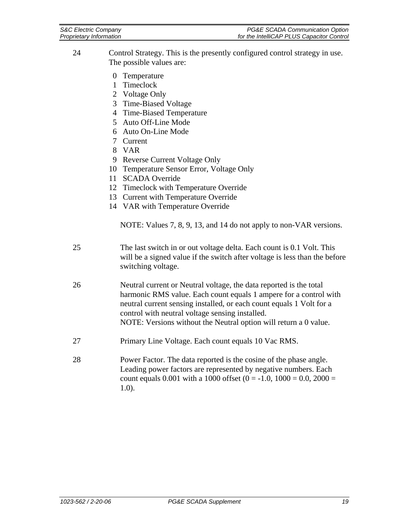| S&C Electric Company    | PG&E SCADA Communication Option           |
|-------------------------|-------------------------------------------|
| Proprietary Information | for the IntelliCAP PLUS Capacitor Control |

| 24 | Control Strategy. This is the presently configured control strategy in use. |
|----|-----------------------------------------------------------------------------|
|    | The possible values are:                                                    |

- 0 Temperature
- 1 Timeclock
- 2 Voltage Only
- 3 Time-Biased Voltage
- 4 Time-Biased Temperature
- 5 Auto Off-Line Mode
- 6 Auto On-Line Mode
- 7 Current
- 8 VAR
- 9 Reverse Current Voltage Only
- 10 Temperature Sensor Error, Voltage Only
- 11 SCADA Override
- 12 Timeclock with Temperature Override
- 13 Current with Temperature Override
- 14 VAR with Temperature Override

NOTE: Values 7, 8, 9, 13, and 14 do not apply to non-VAR versions.

- 25 The last switch in or out voltage delta. Each count is 0.1 Volt. This will be a signed value if the switch after voltage is less than the before switching voltage.
- 26 Neutral current or Neutral voltage, the data reported is the total harmonic RMS value. Each count equals 1 ampere for a control with neutral current sensing installed, or each count equals 1 Volt for a control with neutral voltage sensing installed. NOTE: Versions without the Neutral option will return a 0 value.
- 27 Primary Line Voltage. Each count equals 10 Vac RMS.
- 28 Power Factor. The data reported is the cosine of the phase angle. Leading power factors are represented by negative numbers. Each count equals 0.001 with a 1000 offset (0 = -1.0, 1000 = 0.0, 2000 = 1.0).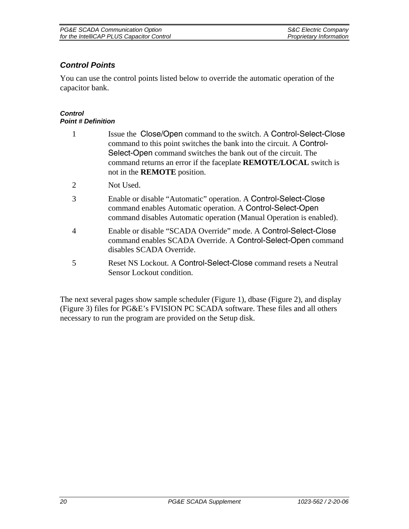| PG&E SCADA Communication Option           | <b>S&amp;C Electric Company</b> |
|-------------------------------------------|---------------------------------|
| for the IntelliCAP PLUS Capacitor Control | Proprietary Information         |

### *Control Points*

You can use the control points listed below to override the automatic operation of the capacitor bank.

#### *Control Point # Definition*

- 1 Issue the Close/Open command to the switch. A Control-Select-Close command to this point switches the bank into the circuit. A Control-Select-Open command switches the bank out of the circuit. The command returns an error if the faceplate **REMOTE/LOCAL** switch is not in the **REMOTE** position.
- 2 Not Used.
- 3 Enable or disable "Automatic" operation. A Control-Select-Close command enables Automatic operation. A Control-Select-Open command disables Automatic operation (Manual Operation is enabled).
- 4 Enable or disable "SCADA Override" mode. A Control-Select-Close command enables SCADA Override. A Control-Select-Open command disables SCADA Override.
- 5 Reset NS Lockout. A Control-Select-Close command resets a Neutral Sensor Lockout condition.

The next several pages show sample scheduler (Figure 1), dbase (Figure 2), and display (Figure 3) files for PG&E's FVISION PC SCADA software. These files and all others necessary to run the program are provided on the Setup disk.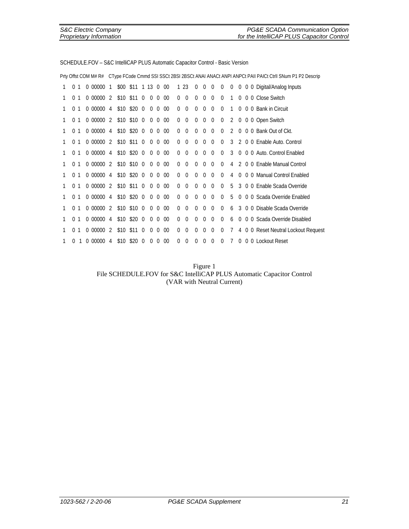|   |                |              |                              |                    |                     |                |                |                |                |          |             |             |                |              |             |                |   |  | Prty Offst COM M# R# CType FCode Cmmd SSI SSCt 2BSI 2BSCt ANAI ANACt ANPI ANPCt PAII PAICt Ctrll SNum P1 P2 Descrip |
|---|----------------|--------------|------------------------------|--------------------|---------------------|----------------|----------------|----------------|----------------|----------|-------------|-------------|----------------|--------------|-------------|----------------|---|--|---------------------------------------------------------------------------------------------------------------------|
|   | 0 <sub>1</sub> |              | 0000001                      |                    | \$00 \$11 1 13 0 00 |                |                |                |                |          | 1 23        | $\mathbf 0$ | $\overline{0}$ | $\mathbf 0$  | $\mathbf 0$ |                |   |  | 0 0 0 0 Digital/Analog Inputs                                                                                       |
| 1 | 0 <sub>1</sub> |              | 0000002                      | \$10 \$11 0        |                     |                | $\mathbf 0$    | $\Omega$       | $00\,$         | $\Omega$ | $\mathbf 0$ | $\Omega$    | $\Omega$       | $\Omega$     | $\Omega$    | $\mathbf{1}$   |   |  | 0 0 0 Close Switch                                                                                                  |
|   | $\Omega$       | 1            | 0 00000 4 \$10 \$20 0 0 0 00 |                    |                     |                |                |                |                | $\Omega$ | $\Omega$    | $\Omega$    | $\Omega$       | $\Omega$     | $\Omega$    | $\mathbf{1}$   |   |  | 0 0 0 Bank in Circuit                                                                                               |
| 1 | $\Omega$       | 1            | 0 00000 2 \$10 \$10 0        |                    |                     |                |                |                | $0 \t0 \t00$   | $\Omega$ | $\Omega$    | $\Omega$    | $\Omega$       | $\mathbf{0}$ | $\mathbf 0$ | $\mathbf{2}$   |   |  | 0 0 0 Open Switch                                                                                                   |
| 1 | $\Omega$       | $\mathbf{1}$ | 0000004                      | \$10 \$20 0 0 0 00 |                     |                |                |                |                | $\Omega$ | $\Omega$    | $\Omega$    | $\Omega$       | $\Omega$     | $\Omega$    | 2              |   |  | 0 0 0 Bank Out of Ckt.                                                                                              |
|   | 0 <sub>1</sub> |              | 0 00000 2 \$10 \$11 0 0 0 00 |                    |                     |                |                |                |                | $\Omega$ | $\Omega$    | $\Omega$    | $\Omega$       | $\Omega$     | $\Omega$    |                |   |  | 3 2 0 0 Enable Auto, Control                                                                                        |
| 1 | 0 <sub>1</sub> |              | 0000004                      |                    | \$10 \$20 0         |                | $\overline{0}$ | $\Omega$       | $00\,$         | $\Omega$ | $\Omega$    | $\Omega$    | $\Omega$       | $\Omega$     | $\Omega$    | $\mathcal{S}$  |   |  | 0 0 0 Auto, Control Enabled                                                                                         |
| 1 | $\Omega$       | $\mathbf{1}$ | 0 00000 2 \$10 \$10 0 0 0 00 |                    |                     |                |                |                |                | $\Omega$ | $\Omega$    | $\Omega$    | $\Omega$       | $\Omega$     | $\Omega$    |                |   |  | 4 2 0 0 Enable Manual Control                                                                                       |
| 1 | $\Omega$       | 1            | 0000004                      |                    | \$10 \$20 0         |                |                | $0\quad 0$     | $00\,$         | $\Omega$ | $\Omega$    | $\Omega$    | $\Omega$       | $\Omega$     | $\Omega$    | 4              |   |  | 0 0 0 Manual Control Enabled                                                                                        |
| 1 | 0 <sub>1</sub> |              | 0 00000 2 \$10 \$11 0 0 0 00 |                    |                     |                |                |                |                | $\Omega$ | $\Omega$    | $\Omega$    | $\Omega$       | $\Omega$     | $\Omega$    | 5              |   |  | 3 0 0 Enable Scada Override                                                                                         |
| 1 | 0 <sub>1</sub> |              | 0000004                      | \$10 \$20 0        |                     |                |                |                | $0 \t 0 \t 00$ | $\Omega$ | $\Omega$    | $\Omega$    | $\Omega$       | $\Omega$     | $\Omega$    | 5              |   |  | 0 0 0 Scada Override Enabled                                                                                        |
| 1 | 0 <sub>1</sub> |              | 0000002                      |                    | $$10$ \$10 0        |                |                | 0 <sub>0</sub> | $00\,$         | $\Omega$ | $\Omega$    | $\Omega$    | $\Omega$       | $\Omega$     | $\Omega$    | 6              |   |  | 3 0 0 Disable Scada Override                                                                                        |
| 1 | $\Omega$       | 1            | 0000004                      | \$10 \$20 0 0 0 00 |                     |                |                |                |                | $\Omega$ | $\Omega$    | $\Omega$    | $\Omega$       | $\Omega$     | $\Omega$    | 6              |   |  | 0 0 0 Scada Override Disabled                                                                                       |
| 1 | $\Omega$       | 1            | 000000                       | 2 \$10 \$11 0      |                     |                | $\Omega$       | $\Omega$       | $00\,$         | $\Omega$ | $\Omega$    | $\Omega$    | $\overline{0}$ | $\mathbf 0$  | 0           | 7              | 4 |  | 0 0 Reset Neutral Lockout Request                                                                                   |
|   | 0              |              | 0000004                      |                    | \$10 \$20           | $\overline{0}$ | $\overline{0}$ | $\Omega$       | $00\,$         | $\Omega$ | $\Omega$    | 0           | $\Omega$       | $\Omega$     | $\Omega$    | $\overline{7}$ |   |  | 0 0 0 Lockout Reset                                                                                                 |

SCHEDULE.FOV – S&C IntelliCAP PLUS Automatic Capacitor Control - Basic Version

Figure 1 File SCHEDULE.FOV for S&C IntelliCAP PLUS Automatic Capacitor Control (VAR with Neutral Current)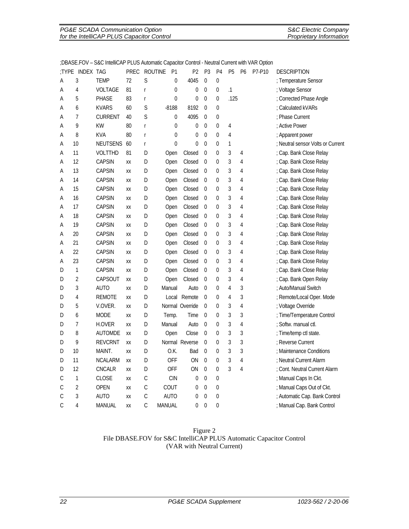| PG&E SCADA Communication Option           | <b>S&amp;C Electric Company</b> |
|-------------------------------------------|---------------------------------|
| for the IntelliCAP PLUS Capacitor Control | <b>Proprietary Information</b>  |

| :TYPE         | <b>INDEX TAG</b> |                 | PREC | <b>ROUTINE</b>                   | P <sub>1</sub>   | P2              | P <sub>3</sub>   | P <sub>4</sub>   | P <sub>5</sub> | P <sub>6</sub> | P7-P10 | <b>DESCRIPTION</b>                |
|---------------|------------------|-----------------|------|----------------------------------|------------------|-----------------|------------------|------------------|----------------|----------------|--------|-----------------------------------|
| A             | 3                | <b>TEMP</b>     | 72   | S                                | $\boldsymbol{0}$ | 4045            | $\mathbf 0$      | 0                |                |                |        | ; Temperature Sensor              |
| А             | $\overline{4}$   | <b>VOLTAGE</b>  | 81   | $\mathsf{r}$                     | $\mathbf 0$      | 0               | $\overline{0}$   | 0                | $\cdot$ 1      |                |        | ; Voltage Sensor                  |
| Α             | 5                | <b>PHASE</b>    | 83   | $\mathsf r$                      | $\mathbf 0$      | 0               | $\mathbf{0}$     | 0                | .125           |                |        | ; Corrected Phase Angle           |
| А             | 6                | <b>KVARS</b>    | 60   | S                                | $-8188$          | 8192            | $\mathbf{0}$     | 0                |                |                |        | : Calculated kVARs                |
| А             | 7                | <b>CURRENT</b>  | 40   | S                                | $\boldsymbol{0}$ | 4095            | $\boldsymbol{0}$ | $\boldsymbol{0}$ |                |                |        | : Phase Current                   |
| А             | 9                | <b>KW</b>       | 80   | $\mathsf{r}$                     | 0                | 0               | $\overline{0}$   | 0                | 4              |                |        | ; Active Power                    |
| Α             | 8                | <b>KVA</b>      | 80   | $\mathsf r$                      | $\mathbf 0$      | 0               | $\Omega$         | $\Omega$         | $\overline{4}$ |                |        | ; Apparent power                  |
| Α             | 10               | <b>NEUTSENS</b> | 60   | $\mathsf{r}$                     | $\overline{0}$   | 0               | $\mathbf 0$      | 0                | 1              |                |        | ; Neutral sensor Volts or Current |
| А             | 11               | <b>VOLTTHD</b>  | 81   | $\begin{array}{c} \n\end{array}$ | Open             | Closed          | $\mathbf 0$      | $\Omega$         | 3              | 4              |        | ; Cap. Bank Close Relay           |
| А             | 12               | <b>CAPSIN</b>   | XX   | D                                | Open             | Closed          | $\mathbf 0$      | 0                | 3              | 4              |        | ; Cap. Bank Close Relay           |
| Α             | 13               | <b>CAPSIN</b>   | XX   | D                                | Open             | Closed          | $\mathbf 0$      | 0                | 3              | 4              |        | ; Cap. Bank Close Relay           |
| А             | 14               | <b>CAPSIN</b>   | XX   | D                                | Open             | Closed          | 0                | 0                | 3              | 4              |        | ; Cap. Bank Close Relay           |
| А             | 15               | <b>CAPSIN</b>   | XX   | D                                | Open             | Closed          | $\mathbf 0$      | 0                | 3              | 4              |        | ; Cap. Bank Close Relay           |
| А             | 16               | <b>CAPSIN</b>   | XX   | D                                | Open             | Closed          | $\mathbf 0$      | 0                | 3              | 4              |        | ; Cap. Bank Close Relay           |
| А             | 17               | <b>CAPSIN</b>   | XX   | D                                | Open             | Closed          | $\mathbf 0$      | 0                | 3              | 4              |        | ; Cap. Bank Close Relay           |
| Α             | 18               | <b>CAPSIN</b>   | XX   | $\mathsf D$                      | Open             | Closed          | $\boldsymbol{0}$ | $\pmb{0}$        | 3              | 4              |        | ; Cap. Bank Close Relay           |
| А             | 19               | <b>CAPSIN</b>   | XX   | D                                | Open             | Closed          | $\mathbf 0$      | 0                | 3              | 4              |        | ; Cap. Bank Close Relay           |
| Α             | 20               | <b>CAPSIN</b>   | XX   | $\mathsf D$                      | Open             | Closed          | 0                | 0                | 3              | 4              |        | ; Cap. Bank Close Relay           |
| А             | 21               | <b>CAPSIN</b>   | XX   | D                                | Open             | Closed          | $\mathbf 0$      | 0                | 3              | 4              |        | ; Cap. Bank Close Relay           |
| Α             | 22               | <b>CAPSIN</b>   | XX   | D                                | Open             | Closed          | $\mathbf 0$      | 0                | 3              | 4              |        | ; Cap. Bank Close Relay           |
| А             | 23               | <b>CAPSIN</b>   | XX   | D                                | Open             | Closed          | $\mathbf 0$      | 0                | 3              | 4              |        | ; Cap. Bank Close Relay           |
| D             | 1                | <b>CAPSIN</b>   | XX   | D                                | Open             | Closed          | $\boldsymbol{0}$ | $\pmb{0}$        | 3              | 4              |        | ; Cap. Bank Close Relay           |
| D             | 2                | CAPSOUT         | XX   | D                                | Open             | Closed          | $\mathbf 0$      | 0                | 3              | 4              |        | ; Cap. Bank Open Relay            |
| D             | 3                | <b>AUTO</b>     | XX   | D                                | Manual           | Auto            | $\boldsymbol{0}$ | $\pmb{0}$        | 4              | 3              |        | ; Auto/Manual Switch              |
| D             | 4                | <b>REMOTE</b>   | XX   | D                                | Local            | Remote          | $\mathbf 0$      | 0                | 4              | 3              |        | ; Remote/Local Oper. Mode         |
| D             | 5                | V.OVER.         | XX   | D                                |                  | Normal Override | $\mathbf 0$      | 0                | 3              | $\overline{4}$ |        | ; Voltage Override                |
| D             | 6                | <b>MODE</b>     | XX   | D                                | Temp.            | Time            | $\mathbf 0$      | 0                | 3              | 3              |        | ; Time/Temperature Control        |
| D             | 7                | <b>H.OVER</b>   | XX   | D                                | Manual           | Auto            | $\mathbf 0$      | 0                | 3              | $\overline{4}$ |        | : Softw. manual ctl.              |
| D             | 8                | <b>AUTOMDE</b>  | XX   | D                                | Open             | Close           | $\boldsymbol{0}$ | 0                | 3              | 3              |        | ; Time/temp ctl state.            |
| D             | 9                | <b>REVCRNT</b>  | XX   | D                                |                  | Normal Reverse  | $\mathbf{0}$     | 0                | 3              | 3              |        | : Reverse Current                 |
| D             | 10               | MAINT.          | XX   | D                                | O.K.             | Bad             | $\boldsymbol{0}$ | 0                | 3              | 3              |        | ; Maintenance Conditions          |
| D             | 11               | <b>NCALARM</b>  | XX   | D                                | <b>OFF</b>       | ON              | $\overline{0}$   | 0                | 3              | $\overline{4}$ |        | ; Neutral Current Alarm           |
| D             | 12               | CNCALR          | XX   | D                                | <b>OFF</b>       | ON              | $\boldsymbol{0}$ | 0                | 3              | $\overline{4}$ |        | ; Cont. Neutral Current Alarm     |
| С             | 1                | <b>CLOSE</b>    | XX   | C                                | <b>CIN</b>       | 0               | $\boldsymbol{0}$ | $\boldsymbol{0}$ |                |                |        | ; Manual Caps In Ckt.             |
| $\mathsf C$   | $\overline{2}$   | <b>OPEN</b>     | XX   | $\mathsf C$                      | COUT             | 0               | $\boldsymbol{0}$ | $\boldsymbol{0}$ |                |                |        | ; Manual Caps Out of Ckt.         |
| C             | 3                | AUTO            | XX   | $\mathsf C$                      | AUTO             | 0               | $\boldsymbol{0}$ | 0                |                |                |        | ; Automatic Cap. Bank Control     |
| $\mathcal{C}$ | 4                | MANUAL          | XX   | $\mathcal{C}$                    | MANUAL           | 0               | $\overline{0}$   | $\pmb{0}$        |                |                |        | ; Manual Cap. Bank Control        |

#### ;DBASE.FOV – S&C IntelliCAP PLUS Automatic Capacitor Control - Neutral Current with VAR Option

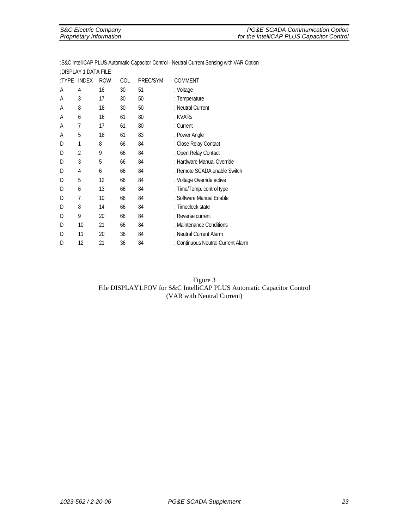| S&C Electric Company    | PG&E SCADA Communication Option           |
|-------------------------|-------------------------------------------|
| Proprietary Information | for the IntelliCAP PLUS Capacitor Control |
|                         |                                           |

|       | :DISPLAY 1 DATA FILE |            |            |          |                                    |
|-------|----------------------|------------|------------|----------|------------------------------------|
| :TYPE | <b>INDEX</b>         | <b>ROW</b> | <b>COL</b> | PREC/SYM | <b>COMMENT</b>                     |
| Α     | 4                    | 16         | 30         | 51       | ; Voltage                          |
| A     | 3                    | 17         | 30         | 50       | ; Temperature                      |
| A     | 8                    | 18         | 30         | 50       | : Neutral Current                  |
| A     | 6                    | 16         | 61         | 80       | : KVARs                            |
| A     | 7                    | 17         | 61         | 80       | : Current                          |
| A     | 5                    | 18         | 61         | 83       | ; Power Angle                      |
| D     | 1                    | 8          | 66         | 84       | ; Close Relay Contact              |
| D     | 2                    | 9          | 66         | 84       | ; Open Relay Contact               |
| D     | 3                    | 5          | 66         | 84       | ; Hardware Manual Override         |
| D     | 4                    | 6          | 66         | 84       | ; Remote SCADA enable Switch       |
| D     | 5                    | 12         | 66         | 84       | ; Voltage Override active          |
| D     | 6                    | 13         | 66         | 84       | ; Time/Temp. control type          |
| D     | 7                    | 10         | 66         | 84       | ; Software Manual Enable           |
| D     | 8                    | 14         | 66         | 84       | : Timeclock state                  |
| D     | 9                    | 20         | 66         | 84       | ; Reverse current                  |
| D     | 10                   | 21         | 66         | 84       | ; Maintenance Conditions           |
| D     | 11                   | 20         | 36         | 84       | ; Neutral Current Alarm            |
| D     | 12                   | 21         | 36         | 84       | ; Continuous Neutral Current Alarm |

;S&C IntelliCAP PLUS Automatic Capacitor Control - Neutral Current Sensing with VAR Option

Figure 3 File DISPLAY1.FOV for S&C IntelliCAP PLUS Automatic Capacitor Control (VAR with Neutral Current)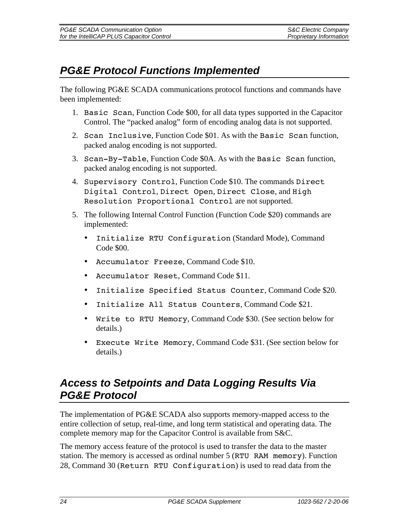# *PG&E Protocol Functions Implemented*

The following PG&E SCADA communications protocol functions and commands have been implemented:

- 1. Basic Scan, Function Code \$00, for all data types supported in the Capacitor Control. The "packed analog" form of encoding analog data is not supported.
- 2. Scan Inclusive, Function Code \$01. As with the Basic Scan function, packed analog encoding is not supported.
- 3. Scan-By-Table, Function Code \$0A. As with the Basic Scan function, packed analog encoding is not supported.
- 4. Supervisory Control, Function Code \$10. The commands Direct Digital Control, Direct Open, Direct Close, and High Resolution Proportional Control are not supported.
- 5. The following Internal Control Function (Function Code \$20) commands are implemented:
	- Initialize RTU Configuration (Standard Mode), Command Code \$00.
	- Accumulator Freeze, Command Code \$10.
	- Accumulator Reset, Command Code \$11.
	- Initialize Specified Status Counter, Command Code \$20.
	- Initialize All Status Counters, Command Code \$21.
	- Write to RTU Memory, Command Code \$30. (See section below for details.)
	- Execute Write Memory, Command Code \$31. (See section below for details.)

### *Access to Setpoints and Data Logging Results Via PG&E Protocol*

The implementation of PG&E SCADA also supports memory-mapped access to the entire collection of setup, real-time, and long term statistical and operating data. The complete memory map for the Capacitor Control is available from S&C.

The memory access feature of the protocol is used to transfer the data to the master station. The memory is accessed as ordinal number 5 (RTU RAM memory). Function 28, Command 30 (Return RTU Configuration) is used to read data from the